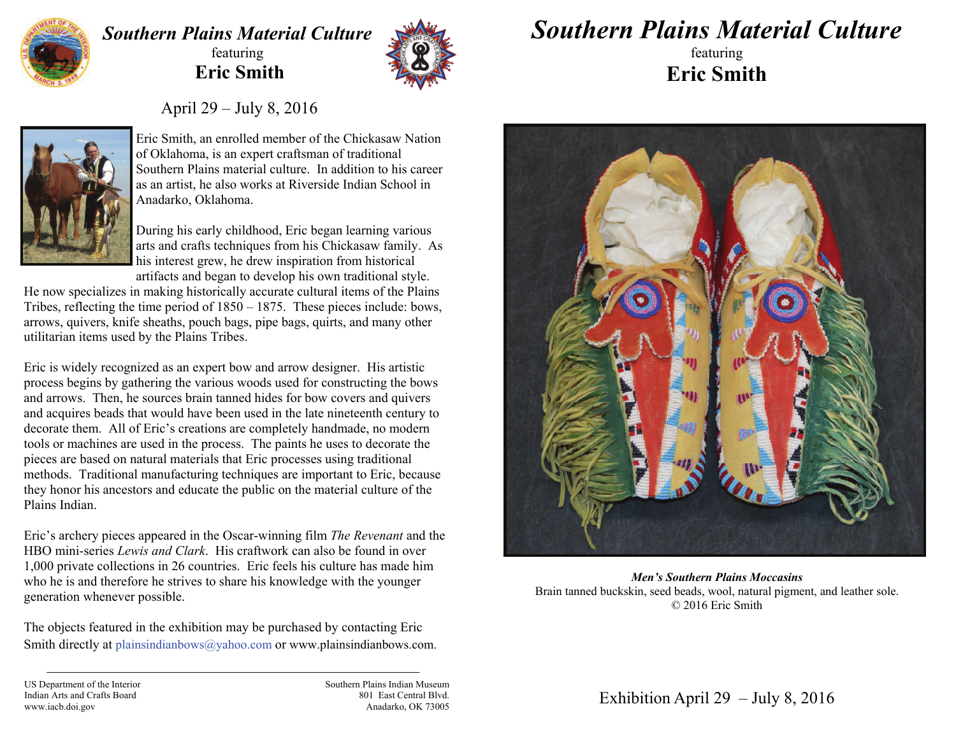

## *Southern Plains Material Culture* featuring  **Eric Smith**



*Southern Plains Material Culture*

featuring **Eric Smith** 

April 29 – July 8, 2016



Eric Smith, an enrolled member of the Chickasaw Nation of Oklahoma, is an expert craftsman of traditional Southern Plains material culture. In addition to his career as an artist, he also works at Riverside Indian School in Anadarko, Oklahoma.

During his early childhood, Eric began learning various arts and crafts techniques from his Chickasaw family. As his interest grew, he drew inspiration from historical artifacts and began to develop his own traditional style.

He now specializes in making historically accurate cultural items of the Plains Tribes, reflecting the time period of 1850 – 1875. These pieces include: bows, arrows, quivers, knife sheaths, pouch bags, pipe bags, quirts, and many other utilitarian items used by the Plains Tribes.

Eric is widely recognized as an expert bow and arrow designer. His artistic process begins by gathering the various woods used for constructing the bows and arrows. Then, he sources brain tanned hides for bow covers and quivers and acquires beads that would have been used in the late nineteenth century to decorate them. All of Eric's creations are completely handmade, no modern tools or machines are used in the process. The paints he uses to decorate the pieces are based on natural materials that Eric processes using traditional methods. Traditional manufacturing techniques are important to Eric, because they honor his ancestors and educate the public on the material culture of the Plains Indian.

Eric's archery pieces appeared in the Oscar-winning film *The Revenant* and the HBO mini-series *Lewis and Clark*. His craftwork can also be found in over 1,000 private collections in 26 countries. Eric feels his culture has made him who he is and therefore he strives to share his knowledge with the younger generation whenever possible.

The objects featured in the exhibition may be purchased by contacting Eric Smith directly at plainsindianbows@yahoo.com or www.plainsindianbows.com.



*Men's Southern Plains Moccasins*Brain tanned buckskin, seed beads, wool, natural pigment, and leather sole. © 2016 Eric Smith

US Department of the Interior Indian Arts and Crafts Board www.iacb.doi.gov

Southern Plains Indian Museum 801 East Central Blvd. Anadarko, OK 73005

Exhibition April 29 – July 8, 2016